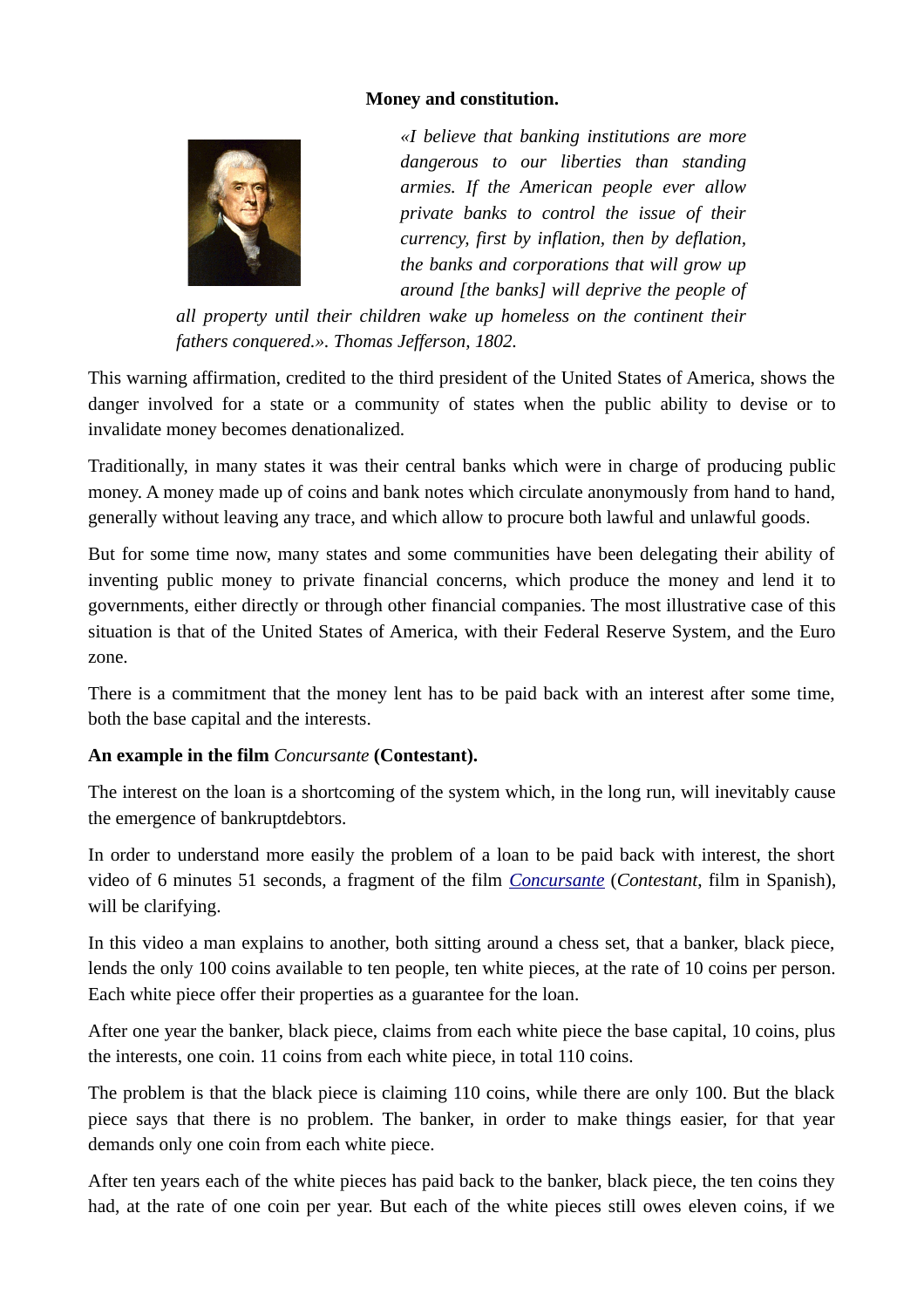#### **Money and constitution.**



*«I believe that banking institutions are more dangerous to our liberties than standing armies. If the American people ever allow private banks to control the issue of their currency, first by inflation, then by deflation, the banks and corporations that will grow up around [the banks] will deprive the people of*

*all property until their children wake up homeless on the continent their fathers conquered.». Thomas Jefferson, 1802.*

This warning affirmation, credited to the third president of the United States of America, shows the danger involved for a state or a community of states when the public ability to devise or to invalidate money becomes denationalized.

Traditionally, in many states it was their central banks which were in charge of producing public money. A money made up of coins and bank notes which circulate anonymously from hand to hand, generally without leaving any trace, and which allow to procure both lawful and unlawful goods.

But for some time now, many states and some communities have been delegating their ability of inventing public money to private financial concerns, which produce the money and lend it to governments, either directly or through other financial companies. The most illustrative case of this situation is that of the United States of America, with their Federal Reserve System, and the Euro zone.

There is a commitment that the money lent has to be paid back with an interest after some time, both the base capital and the interests.

### **An example in the film** *Concursante* **(Contestant).**

The interest on the loan is a shortcoming of the system which, in the long run, will inevitably cause the emergence of bankruptdebtors.

In order to understand more easily the problem of a loan to be paid back with interest, the short video of 6 minutes 51 seconds, a fragment of the film *[Concursante](http://www.bardina.org/videos/concursante-fragmento-es.htm)* (*Contestant*, film in Spanish), will be clarifying.

In this video a man explains to another, both sitting around a chess set, that a banker, black piece, lends the only 100 coins available to ten people, ten white pieces, at the rate of 10 coins per person. Each white piece offer their properties as a guarantee for the loan.

After one year the banker, black piece, claims from each white piece the base capital, 10 coins, plus the interests, one coin. 11 coins from each white piece, in total 110 coins.

The problem is that the black piece is claiming 110 coins, while there are only 100. But the black piece says that there is no problem. The banker, in order to make things easier, for that year demands only one coin from each white piece.

After ten years each of the white pieces has paid back to the banker, black piece, the ten coins they had, at the rate of one coin per year. But each of the white pieces still owes eleven coins, if we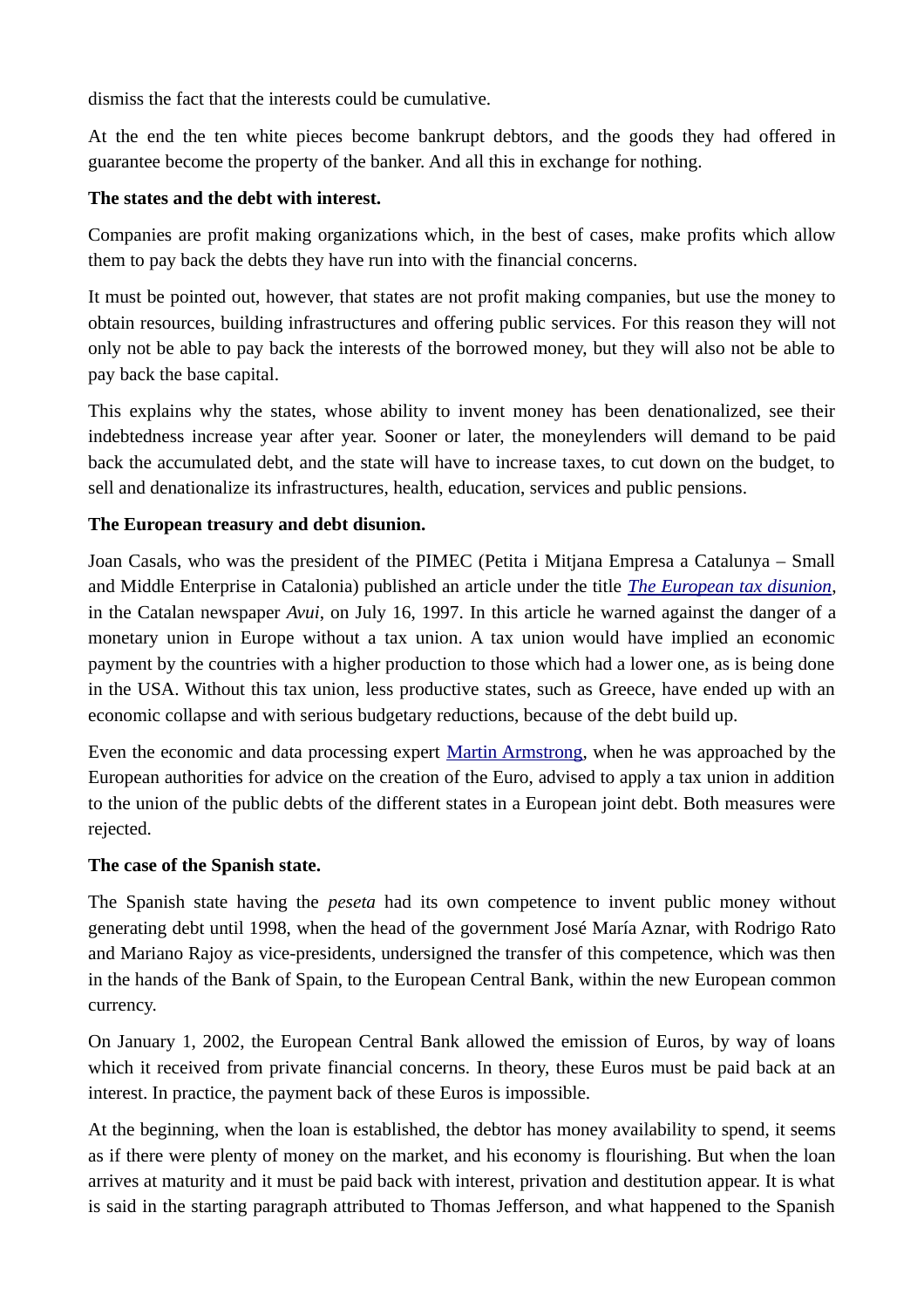dismiss the fact that the interests could be cumulative.

At the end the ten white pieces become bankrupt debtors, and the goods they had offered in guarantee become the property of the banker. And all this in exchange for nothing.

### **The states and the debt with interest.**

Companies are profit making organizations which, in the best of cases, make profits which allow them to pay back the debts they have run into with the financial concerns.

It must be pointed out, however, that states are not profit making companies, but use the money to obtain resources, building infrastructures and offering public services. For this reason they will not only not be able to pay back the interests of the borrowed money, but they will also not be able to pay back the base capital.

This explains why the states, whose ability to invent money has been denationalized, see their indebtedness increase year after year. Sooner or later, the moneylenders will demand to be paid back the accumulated debt, and the state will have to increase taxes, to cut down on the budget, to sell and denationalize its infrastructures, health, education, services and public pensions.

## **The European treasury and debt disunion.**

Joan Casals, who was the president of the PIMEC (Petita i Mitjana Empresa a Catalunya – Small and Middle Enterprise in Catalonia) published an article under the title *[The European tax disunion](http://www.bardina.org/nw/escrits/jcasals-the-european-tax-disunion-en.htm)*, in the Catalan newspaper *Avui*, on July 16, 1997. In this article he warned against the danger of a monetary union in Europe without a tax union. A tax union would have implied an economic payment by the countries with a higher production to those which had a lower one, as is being done in the USA. Without this tax union, less productive states, such as Greece, have ended up with an economic collapse and with serious budgetary reductions, because of the debt build up.

Even the economic and data processing expert [Martin Armstrong,](http://www.bardina.org/nw/escrits/martin-armstrong-two-interviews-en.htm) when he was approached by the European authorities for advice on the creation of the Euro, advised to apply a tax union in addition to the union of the public debts of the different states in a European joint debt. Both measures were rejected.

### **The case of the Spanish state.**

The Spanish state having the *peseta* had its own competence to invent public money without generating debt until 1998, when the head of the government José María Aznar, with Rodrigo Rato and Mariano Rajoy as vice-presidents, undersigned the transfer of this competence, which was then in the hands of the Bank of Spain, to the European Central Bank, within the new European common currency.

On January 1, 2002, the European Central Bank allowed the emission of Euros, by way of loans which it received from private financial concerns. In theory, these Euros must be paid back at an interest. In practice, the payment back of these Euros is impossible.

At the beginning, when the loan is established, the debtor has money availability to spend, it seems as if there were plenty of money on the market, and his economy is flourishing. But when the loan arrives at maturity and it must be paid back with interest, privation and destitution appear. It is what is said in the starting paragraph attributed to Thomas Jefferson, and what happened to the Spanish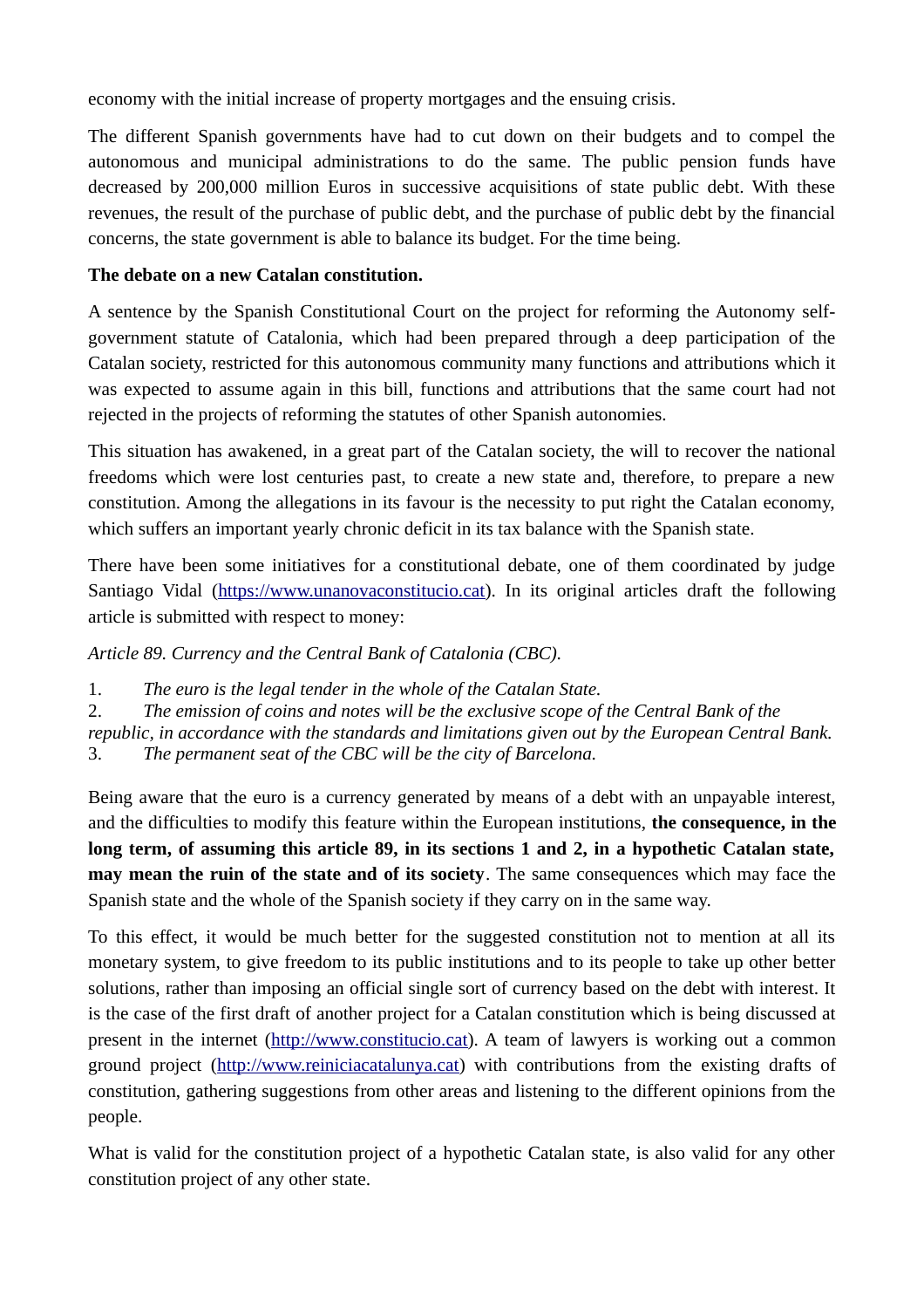economy with the initial increase of property mortgages and the ensuing crisis.

The different Spanish governments have had to cut down on their budgets and to compel the autonomous and municipal administrations to do the same. The public pension funds have decreased by 200,000 million Euros in successive acquisitions of state public debt. With these revenues, the result of the purchase of public debt, and the purchase of public debt by the financial concerns, the state government is able to balance its budget. For the time being.

# **The debate on a new Catalan constitution.**

A sentence by the Spanish Constitutional Court on the project for reforming the Autonomy selfgovernment statute of Catalonia, which had been prepared through a deep participation of the Catalan society, restricted for this autonomous community many functions and attributions which it was expected to assume again in this bill, functions and attributions that the same court had not rejected in the projects of reforming the statutes of other Spanish autonomies.

This situation has awakened, in a great part of the Catalan society, the will to recover the national freedoms which were lost centuries past, to create a new state and, therefore, to prepare a new constitution. Among the allegations in its favour is the necessity to put right the Catalan economy, which suffers an important yearly chronic deficit in its tax balance with the Spanish state.

There have been some initiatives for a constitutional debate, one of them coordinated by judge Santiago Vidal [\(https://www.unanovaconstitucio.cat\)](https://www.unanovaconstitucio.cat/). In its original articles draft the following article is submitted with respect to money:

*Article 89. Currency and the Central Bank of Catalonia (CBC).*

1. *The euro is the legal tender in the whole of the Catalan State.*

2. *The emission of coins and notes will be the exclusive scope of the Central Bank of the* 

*republic, in accordance with the standards and limitations given out by the European Central Bank.* 3. *The permanent seat of the CBC will be the city of Barcelona.*

Being aware that the euro is a currency generated by means of a debt with an unpayable interest, and the difficulties to modify this feature within the European institutions, **the consequence, in the long term, of assuming this article 89, in its sections 1 and 2, in a hypothetic Catalan state, may mean the ruin of the state and of its society**. The same consequences which may face the Spanish state and the whole of the Spanish society if they carry on in the same way.

To this effect, it would be much better for the suggested constitution not to mention at all its monetary system, to give freedom to its public institutions and to its people to take up other better solutions, rather than imposing an official single sort of currency based on the debt with interest. It is the case of the first draft of another project for a Catalan constitution which is being discussed at present in the internet [\(http://www.constitucio.cat\)](http://www.constitucio.cat/). A team of lawyers is working out a common ground project [\(http://www.reiniciacatalunya.cat\)](http://www.reiniciacatalunya.cat/) with contributions from the existing drafts of constitution, gathering suggestions from other areas and listening to the different opinions from the people.

What is valid for the constitution project of a hypothetic Catalan state, is also valid for any other constitution project of any other state.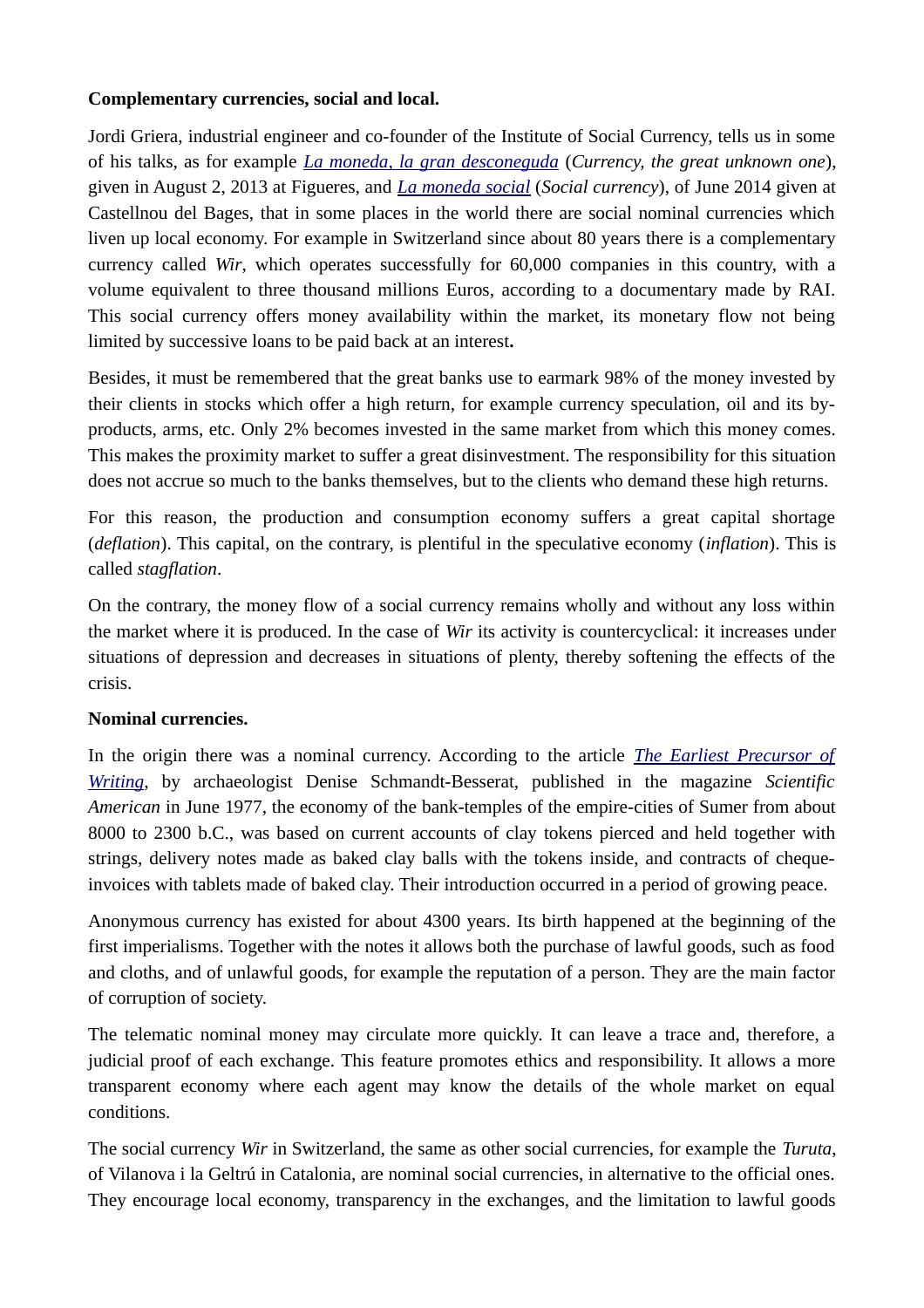### **Complementary currencies, social and local.**

Jordi Griera, industrial engineer and co-founder of the Institute of Social Currency, tells us in some of his talks, as for example *[La moneda, la gran desconeguda](http://www.bardina.org/videos/la-moneda-la-gran-desconeguda-cat.htm)* (*Currency, the great unknown one*), given in August 2, 2013 at Figueres, and *[La moneda social](http://www.bardina.org/videos/la-moneda-social-por-jordi-griera-castellnou-del-bages-es.htm)* (*Social currency*), of June 2014 given at Castellnou del Bages, that in some places in the world there are social nominal currencies which liven up local economy. For example in Switzerland since about 80 years there is a complementary currency called *Wir*, which operates successfully for 60,000 companies in this country, with a volume equivalent to three thousand millions Euros, according to a documentary made by RAI. This social currency offers money availability within the market, its monetary flow not being limited by successive loans to be paid back at an interest**.**

Besides, it must be remembered that the great banks use to earmark 98% of the money invested by their clients in stocks which offer a high return, for example currency speculation, oil and its byproducts, arms, etc. Only 2% becomes invested in the same market from which this money comes. This makes the proximity market to suffer a great disinvestment. The responsibility for this situation does not accrue so much to the banks themselves, but to the clients who demand these high returns.

For this reason, the production and consumption economy suffers a great capital shortage (*deflation*). This capital, on the contrary, is plentiful in the speculative economy (*inflation*). This is called *stagflation*.

On the contrary, the money flow of a social currency remains wholly and without any loss within the market where it is produced. In the case of *Wir* its activity is countercyclical: it increases under situations of depression and decreases in situations of plenty, thereby softening the effects of the crisis.

### **Nominal currencies.**

In the origin there was a nominal currency. According to the article *[The Earliest Precursor of](http://www.bardina.org/padeenin.htm) [Writing](http://www.bardina.org/padeenin.htm)*, by archaeologist Denise Schmandt-Besserat, published in the magazine *Scientific American* in June 1977, the economy of the bank-temples of the empire-cities of Sumer from about 8000 to 2300 b.C., was based on current accounts of clay tokens pierced and held together with strings, delivery notes made as baked clay balls with the tokens inside, and contracts of chequeinvoices with tablets made of baked clay. Their introduction occurred in a period of growing peace.

Anonymous currency has existed for about 4300 years. Its birth happened at the beginning of the first imperialisms. Together with the notes it allows both the purchase of lawful goods, such as food and cloths, and of unlawful goods, for example the reputation of a person. They are the main factor of corruption of society.

The telematic nominal money may circulate more quickly. It can leave a trace and, therefore, a judicial proof of each exchange. This feature promotes ethics and responsibility. It allows a more transparent economy where each agent may know the details of the whole market on equal conditions.

The social currency *Wir* in Switzerland, the same as other social currencies, for example the *Turuta*, of Vilanova i la Geltrú in Catalonia, are nominal social currencies, in alternative to the official ones. They encourage local economy, transparency in the exchanges, and the limitation to lawful goods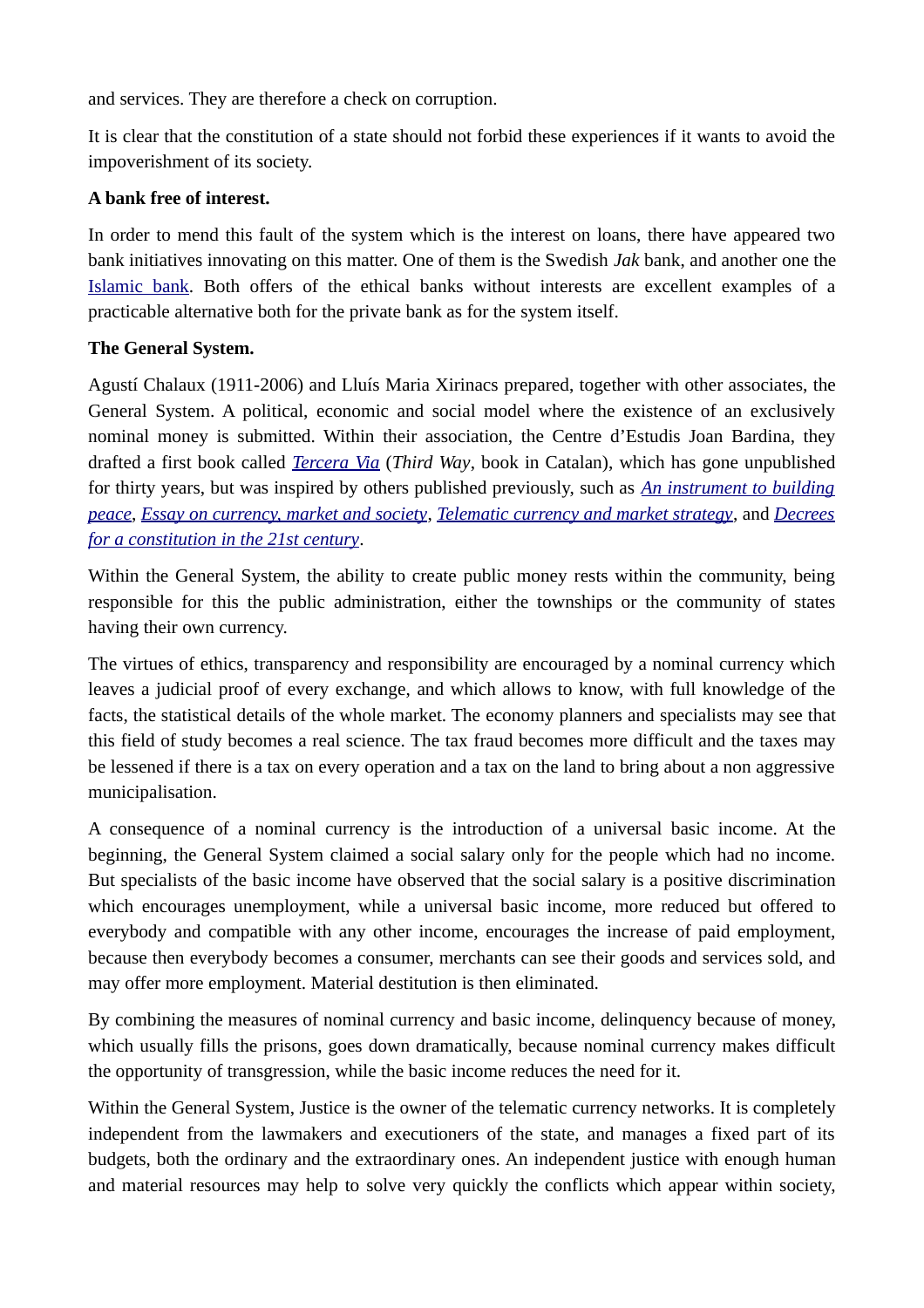and services. They are therefore a check on corruption.

It is clear that the constitution of a state should not forbid these experiences if it wants to avoid the impoverishment of its society.

### **A bank free of interest.**

In order to mend this fault of the system which is the interest on loans, there have appeared two bank initiatives innovating on this matter. One of them is the Swedish *Jak* bank, and another one the [Islamic bank.](http://www.bardina.org/nw/escrits/directa-najia-lotfi-el-coran-promueve-la-economia-social-es.htm) Both offers of the ethical banks without interests are excellent examples of a practicable alternative both for the private bank as for the system itself.

## **The General System.**

Agustí Chalaux (1911-2006) and Lluís Maria Xirinacs prepared, together with other associates, the General System. A political, economic and social model where the existence of an exclusively nominal money is submitted. Within their association, the Centre d'Estudis Joan Bardina, they drafted a first book called *[Tercera Via](http://www.bardina.org/nw2/tercera_via/terceraviact.htm)* (*Third Way*, book in Catalan), which has gone unpublished for thirty years, but was inspired by others published previously, such as *[An instrument to building](http://www.bardina.org/einauk00.htm) [peace](http://www.bardina.org/einauk00.htm)*, *[Essay on currency, market and society](http://www.bardina.org/ammsukin.htm)*, *[Telematic currency and market strategy](http://www.bardina.org/mtemukin.htm)*, and *[Decrees](http://www.bardina.org/decretos/dleyesin.htm) [for a constitution in the 21st century](http://www.bardina.org/decretos/dleyesin.htm)*.

Within the General System, the ability to create public money rests within the community, being responsible for this the public administration, either the townships or the community of states having their own currency.

The virtues of ethics, transparency and responsibility are encouraged by a nominal currency which leaves a judicial proof of every exchange, and which allows to know, with full knowledge of the facts, the statistical details of the whole market. The economy planners and specialists may see that this field of study becomes a real science. The tax fraud becomes more difficult and the taxes may be lessened if there is a tax on every operation and a tax on the land to bring about a non aggressive municipalisation.

A consequence of a nominal currency is the introduction of a universal basic income. At the beginning, the General System claimed a social salary only for the people which had no income. But specialists of the basic income have observed that the social salary is a positive discrimination which encourages unemployment, while a universal basic income, more reduced but offered to everybody and compatible with any other income, encourages the increase of paid employment, because then everybody becomes a consumer, merchants can see their goods and services sold, and may offer more employment. Material destitution is then eliminated.

By combining the measures of nominal currency and basic income, delinquency because of money, which usually fills the prisons, goes down dramatically, because nominal currency makes difficult the opportunity of transgression, while the basic income reduces the need for it.

Within the General System, Justice is the owner of the telematic currency networks. It is completely independent from the lawmakers and executioners of the state, and manages a fixed part of its budgets, both the ordinary and the extraordinary ones. An independent justice with enough human and material resources may help to solve very quickly the conflicts which appear within society,